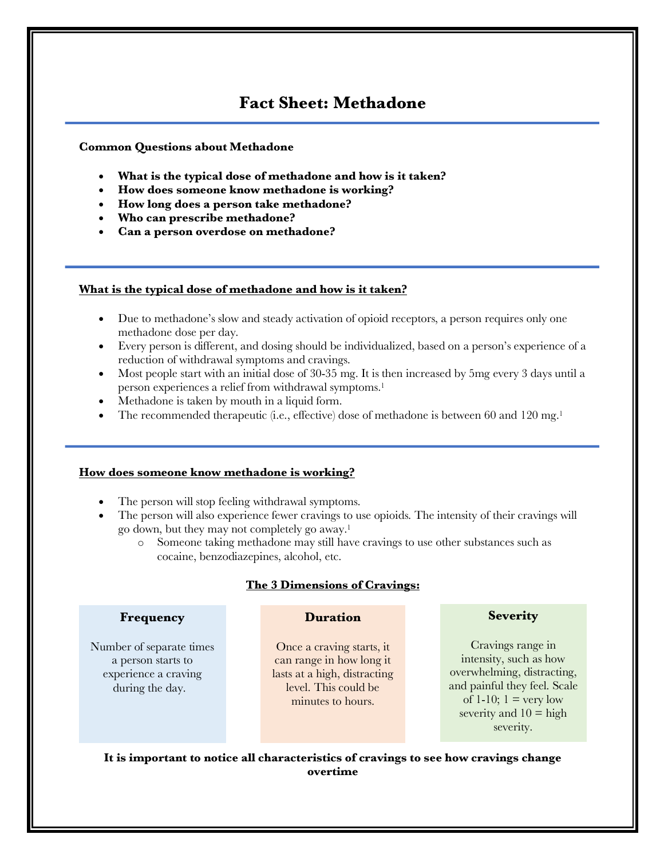# **Fact Sheet: Methadone**

## **Common Questions about Methadone**

- **What is the typical dose of methadone and how is it taken?**
- **How does someone know methadone is working?**
- **How long does a person take methadone?**
- **Who can prescribe methadone?**
- **Can a person overdose on methadone?**

## **What is the typical dose of methadone and how is it taken?**

- Due to methadone's slow and steady activation of opioid receptors, a person requires only one methadone dose per day.
- Every person is different, and dosing should be individualized, based on a person's experience of a reduction of withdrawal symptoms and cravings.
- Most people start with an initial dose of 30-35 mg. It is then increased by 5mg every 3 days until a person experiences a relief from withdrawal symptoms.<sup>1</sup>
- Methadone is taken by mouth in a liquid form.
- The recommended therapeutic (i.e., effective) dose of methadone is between 60 and 120 mg.<sup>1</sup>

### **How does someone know methadone is working?**

- The person will stop feeling withdrawal symptoms.
- The person will also experience fewer cravings to use opioids. The intensity of their cravings will go down, but they may not completely go away.1
	- o Someone taking methadone may still have cravings to use other substances such as cocaine, benzodiazepines, alcohol, etc.

# **The 3 Dimensions of Cravings:**

### **Frequency**

Number of separate times a person starts to experience a craving during the day.

# **Duration**

Once a craving starts, it can range in how long it lasts at a high, distracting level. This could be minutes to hours.

# **Severity**

Cravings range in intensity, such as how overwhelming, distracting, and painful they feel. Scale of 1-10;  $1 = \text{very low}$ severity and  $10 =$  high severity.

**It is important to notice all characteristics of cravings to see how cravings change overtime**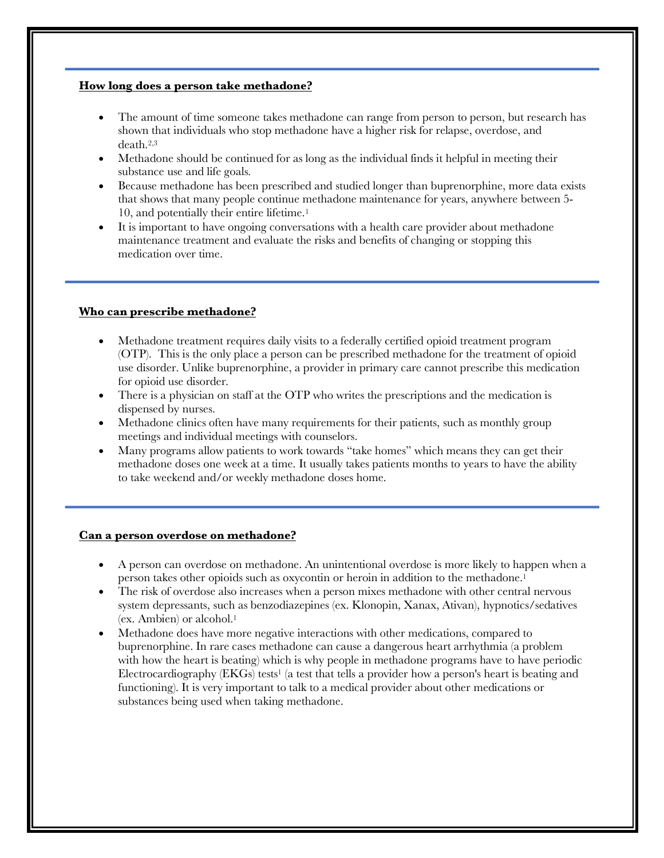## **How long does a person take methadone?**

- The amount of time someone takes methadone can range from person to person, but research has shown that individuals who stop methadone have a higher risk for relapse, overdose, and death.2,3
- Methadone should be continued for as long as the individual finds it helpful in meeting their substance use and life goals.
- Because methadone has been prescribed and studied longer than buprenorphine, more data exists that shows that many people continue methadone maintenance for years, anywhere between 5- 10, and potentially their entire lifetime.1
- It is important to have ongoing conversations with a health care provider about methadone maintenance treatment and evaluate the risks and benefits of changing or stopping this medication over time.

## **Who can prescribe methadone?**

- Methadone treatment requires daily visits to a federally certified opioid treatment program (OTP). This is the only place a person can be prescribed methadone for the treatment of opioid use disorder. Unlike buprenorphine, a provider in primary care cannot prescribe this medication for opioid use disorder.
- There is a physician on staff at the OTP who writes the prescriptions and the medication is dispensed by nurses.
- Methadone clinics often have many requirements for their patients, such as monthly group meetings and individual meetings with counselors.
- Many programs allow patients to work towards "take homes" which means they can get their methadone doses one week at a time. It usually takes patients months to years to have the ability to take weekend and/or weekly methadone doses home.

### **Can a person overdose on methadone?**

- A person can overdose on methadone. An unintentional overdose is more likely to happen when a person takes other opioids such as oxycontin or heroin in addition to the methadone.1
- The risk of overdose also increases when a person mixes methadone with other central nervous system depressants, such as benzodiazepines (ex. Klonopin, Xanax, Ativan), hypnotics/sedatives (ex. Ambien) or alcohol.<sup>1</sup>
- Methadone does have more negative interactions with other medications, compared to buprenorphine. In rare cases methadone can cause a dangerous heart arrhythmia (a problem with how the heart is beating) which is why people in methadone programs have to have periodic Electrocardiography  $(EKGs)$  tests<sup>1</sup> (a test that tells a provider how a person's heart is beating and functioning). It is very important to talk to a medical provider about other medications or substances being used when taking methadone.